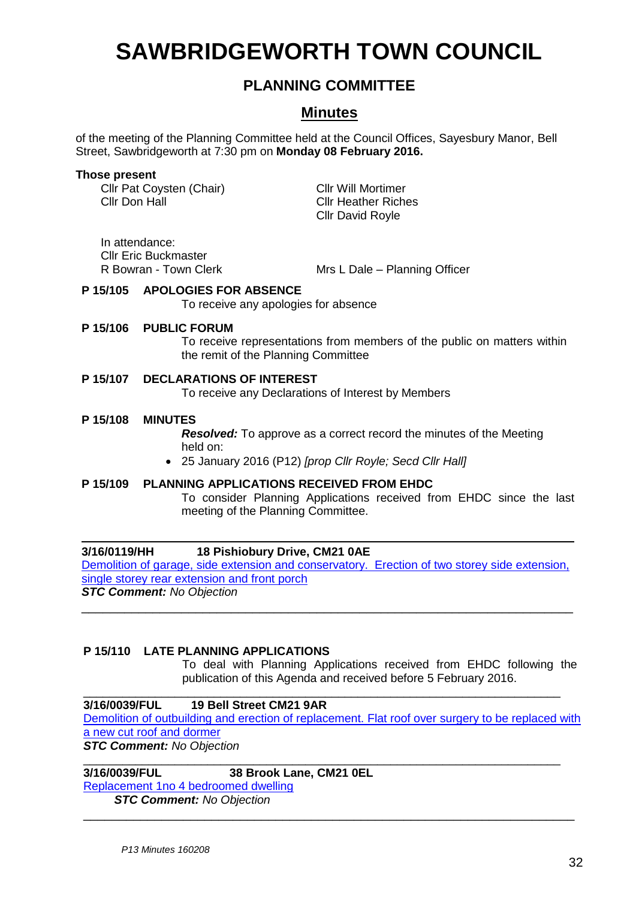# **SAWBRIDGEWORTH TOWN COUNCIL**

# **PLANNING COMMITTEE**

# **Minutes**

of the meeting of the Planning Committee held at the Council Offices, Sayesbury Manor, Bell Street, Sawbridgeworth at 7:30 pm on **Monday 08 February 2016.**

#### **Those present**

Cllr Pat Coysten (Chair) Cllr Will Mortimer Cllr Don Hall Cllr Heather Riches

Cllr David Royle

In attendance: Cllr Eric Buckmaster

R Bowran - Town Clerk Mrs L Dale – Planning Officer

#### **P 15/105 APOLOGIES FOR ABSENCE**

To receive any apologies for absence

#### **P 15/106 PUBLIC FORUM**

To receive representations from members of the public on matters within the remit of the Planning Committee

### **P 15/107 DECLARATIONS OF INTEREST**

To receive any Declarations of Interest by Members

#### **P 15/108 MINUTES**

*Resolved:* To approve as a correct record the minutes of the Meeting held on:

25 January 2016 (P12) *[prop Cllr Royle; Secd Cllr Hall]*

#### **P 15/109 PLANNING APPLICATIONS RECEIVED FROM EHDC**

To consider Planning Applications received from EHDC since the last meeting of the Planning Committee.

#### **3/16/0119/HH 18 Pishiobury Drive, CM21 0AE**

[Demolition of garage, side extension and conservatory. Erection of two storey side extension,](https://publicaccess.eastherts.gov.uk/online-applications/applicationDetails.do?activeTab=summary&keyVal=O17F3AGL00300)  [single storey rear extension and front porch](https://publicaccess.eastherts.gov.uk/online-applications/applicationDetails.do?activeTab=summary&keyVal=O17F3AGL00300) *STC Comment: No Objection*

\_\_\_\_\_\_\_\_\_\_\_\_\_\_\_\_\_\_\_\_\_\_\_\_\_\_\_\_\_\_\_\_\_\_\_\_\_\_\_\_\_\_\_\_\_\_\_\_\_\_\_\_\_\_\_\_\_\_\_\_\_\_\_\_\_\_\_\_\_

#### **P 15/110 LATE PLANNING APPLICATIONS**

To deal with Planning Applications received from EHDC following the publication of this Agenda and received before 5 February 2016.

#### **3/16/0039/FUL 19 Bell Street CM21 9AR**

[Demolition of outbuilding and erection of replacement. Flat roof over surgery to be replaced with](https://publicaccess.eastherts.gov.uk/online-applications/applicationDetails.do?activeTab=summary&keyVal=O0S3L6GLI5S00&prevPage=inTray)  [a new cut roof and dormer](https://publicaccess.eastherts.gov.uk/online-applications/applicationDetails.do?activeTab=summary&keyVal=O0S3L6GLI5S00&prevPage=inTray) 

\_\_\_\_\_\_\_\_\_\_\_\_\_\_\_\_\_\_\_\_\_\_\_\_\_\_\_\_\_\_\_\_\_\_\_\_\_\_\_\_\_\_\_\_\_\_\_\_\_\_\_\_\_\_\_\_\_\_\_\_\_\_\_\_\_\_\_\_\_\_\_\_\_

\_\_\_\_\_\_\_\_\_\_\_\_\_\_\_\_\_\_\_\_\_\_\_\_\_\_\_\_\_\_\_\_\_\_\_\_\_\_\_\_\_\_\_\_\_\_\_\_\_\_\_\_\_\_\_\_\_\_\_\_\_\_\_\_\_\_\_\_\_\_\_\_\_

*STC Comment: No Objection*

**3/16/0039/FUL 38 Brook Lane, CM21 0EL**

[Replacement 1no 4 bedroomed dwelling](https://publicaccess.eastherts.gov.uk/online-applications/applicationDetails.do?activeTab=summary&keyVal=O1IN71GLIEH00&prevPage=inTray) 

*STC Comment: No Objection* \_\_\_\_\_\_\_\_\_\_\_\_\_\_\_\_\_\_\_\_\_\_\_\_\_\_\_\_\_\_\_\_\_\_\_\_\_\_\_\_\_\_\_\_\_\_\_\_\_\_\_\_\_\_\_\_\_\_\_\_\_\_\_\_\_\_\_\_\_